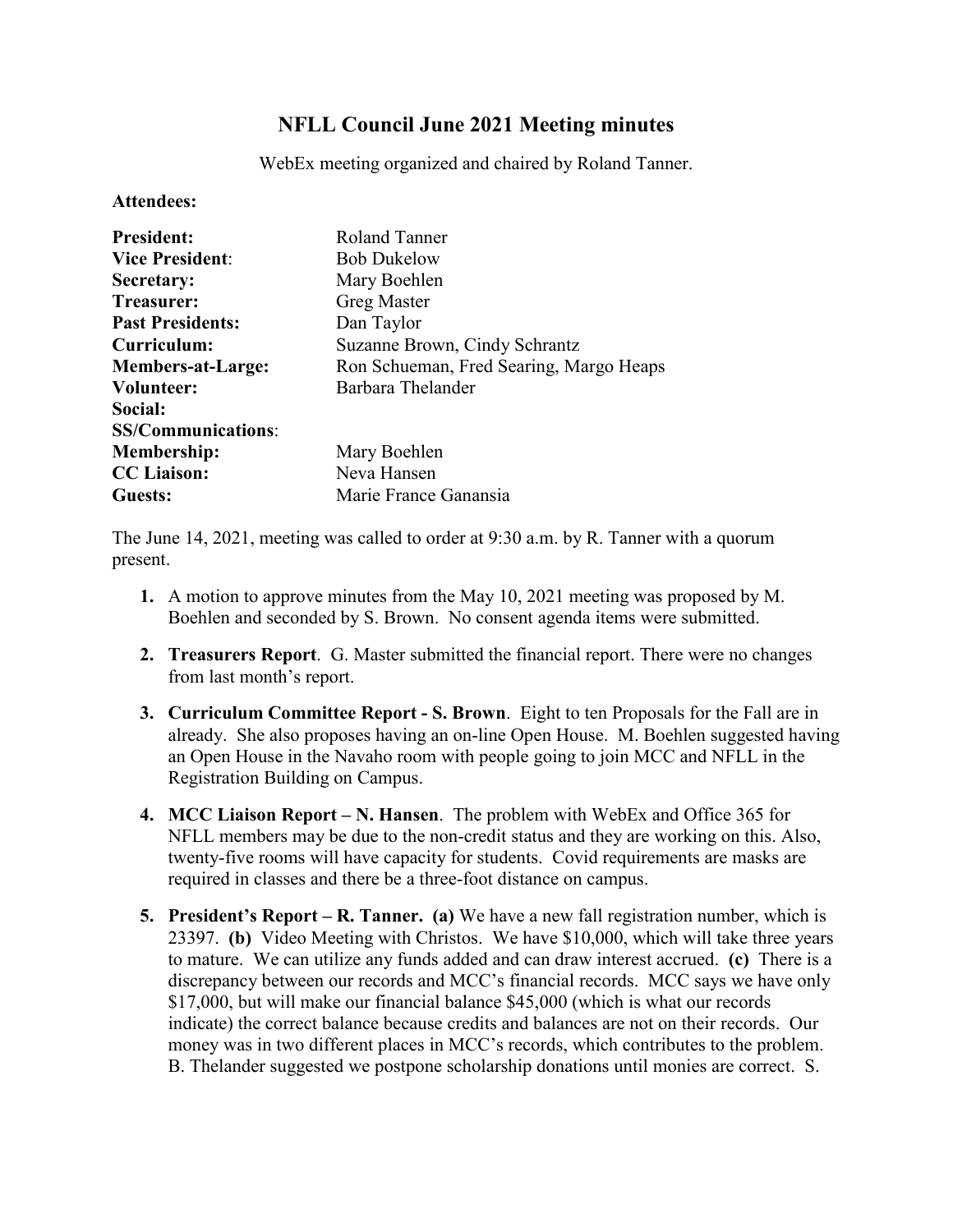## **NFLL Council June 2021 Meeting minutes**

WebEx meeting organized and chaired by Roland Tanner.

**Attendees:**

| <b>President:</b>         | Roland Tanner                           |
|---------------------------|-----------------------------------------|
| <b>Vice President:</b>    | <b>Bob Dukelow</b>                      |
| Secretary:                | Mary Boehlen                            |
| Treasurer:                | <b>Greg Master</b>                      |
| <b>Past Presidents:</b>   | Dan Taylor                              |
| Curriculum:               | Suzanne Brown, Cindy Schrantz           |
| <b>Members-at-Large:</b>  | Ron Schueman, Fred Searing, Margo Heaps |
| Volunteer:                | Barbara Thelander                       |
| Social:                   |                                         |
| <b>SS/Communications:</b> |                                         |
| <b>Membership:</b>        | Mary Boehlen                            |
| <b>CC</b> Liaison:        | Neva Hansen                             |
| Guests:                   | Marie France Ganansia                   |

The June 14, 2021, meeting was called to order at 9:30 a.m. by R. Tanner with a quorum present.

- **1.** A motion to approve minutes from the May 10, 2021 meeting was proposed by M. Boehlen and seconded by S. Brown. No consent agenda items were submitted.
- **2. Treasurers Report**. G. Master submitted the financial report. There were no changes from last month's report.
- **3. Curriculum Committee Report - S. Brown**. Eight to ten Proposals for the Fall are in already. She also proposes having an on-line Open House. M. Boehlen suggested having an Open House in the Navaho room with people going to join MCC and NFLL in the Registration Building on Campus.
- **4. MCC Liaison Report – N. Hansen**. The problem with WebEx and Office 365 for NFLL members may be due to the non-credit status and they are working on this. Also, twenty-five rooms will have capacity for students. Covid requirements are masks are required in classes and there be a three-foot distance on campus.
- **5. President's Report – R. Tanner. (a)** We have a new fall registration number, which is 23397. **(b)** Video Meeting with Christos. We have \$10,000, which will take three years to mature. We can utilize any funds added and can draw interest accrued. **(c)** There is a discrepancy between our records and MCC's financial records. MCC says we have only \$17,000, but will make our financial balance \$45,000 (which is what our records indicate) the correct balance because credits and balances are not on their records. Our money was in two different places in MCC's records, which contributes to the problem. B. Thelander suggested we postpone scholarship donations until monies are correct. S.